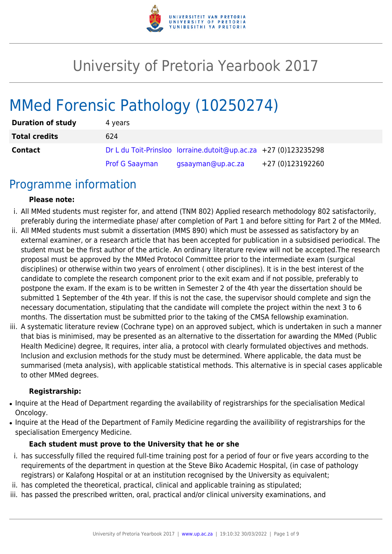

# University of Pretoria Yearbook 2017

# MMed Forensic Pathology (10250274)

| <b>Duration of study</b> | 4 years               |                                                                 |                  |
|--------------------------|-----------------------|-----------------------------------------------------------------|------------------|
| <b>Total credits</b>     | 624                   |                                                                 |                  |
| <b>Contact</b>           |                       | Dr L du Toit-Prinsloo lorraine.dutoit@up.ac.za +27 (0)123235298 |                  |
|                          | <b>Prof G Saayman</b> | gsaayman@up.ac.za                                               | +27 (0)123192260 |

### Programme information

#### **Please note:**

- i. All MMed students must register for, and attend (TNM 802) Applied research methodology 802 satisfactorily, preferably during the intermediate phase/ after completion of Part 1 and before sitting for Part 2 of the MMed.
- ii. All MMed students must submit a dissertation (MMS 890) which must be assessed as satisfactory by an external examiner, or a research article that has been accepted for publication in a subsidised periodical. The student must be the first author of the article. An ordinary literature review will not be accepted.The research proposal must be approved by the MMed Protocol Committee prior to the intermediate exam (surgical disciplines) or otherwise within two years of enrolment ( other disciplines). It is in the best interest of the candidate to complete the research component prior to the exit exam and if not possible, preferably to postpone the exam. If the exam is to be written in Semester 2 of the 4th year the dissertation should be submitted 1 September of the 4th year. If this is not the case, the supervisor should complete and sign the necessary documentation, stipulating that the candidate will complete the project within the next 3 to 6 months. The dissertation must be submitted prior to the taking of the CMSA fellowship examination.
- iii. A systematic literature review (Cochrane type) on an approved subject, which is undertaken in such a manner that bias is minimised, may be presented as an alternative to the dissertation for awarding the MMed (Public Health Medicine) degree, It requires, inter alia, a protocol with clearly formulated objectives and methods. Inclusion and exclusion methods for the study must be determined. Where applicable, the data must be summarised (meta analysis), with applicable statistical methods. This alternative is in special cases applicable to other MMed degrees.

#### **Registrarship:**

- Inquire at the Head of Department regarding the availability of registrarships for the specialisation Medical Oncology.
- Inquire at the Head of the Department of Family Medicine regarding the availibility of registrarships for the specialisation Emergency Medicine.

#### **Each student must prove to the University that he or she**

- i. has successfully filled the required full-time training post for a period of four or five years according to the requirements of the department in question at the Steve Biko Academic Hospital, (in case of pathology registrars) or Kalafong Hospital or at an institution recognised by the University as equivalent;
- ii. has completed the theoretical, practical, clinical and applicable training as stipulated;
- iii. has passed the prescribed written, oral, practical and/or clinical university examinations, and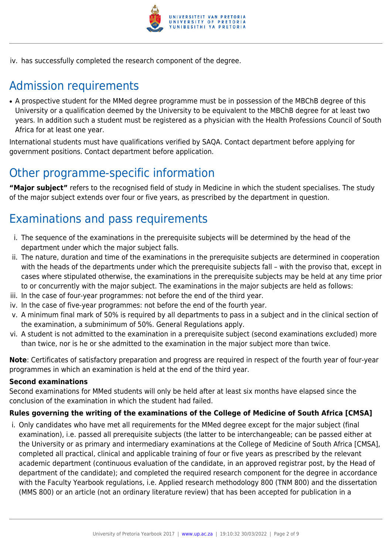

iv. has successfully completed the research component of the degree.

# Admission requirements

• A prospective student for the MMed degree programme must be in possession of the MBChB degree of this University or a qualification deemed by the University to be equivalent to the MBChB degree for at least two years. In addition such a student must be registered as a physician with the Health Professions Council of South Africa for at least one year.

International students must have qualifications verified by SAQA. Contact department before applying for government positions. Contact department before application.

# Other programme-specific information

**"Major subject"** refers to the recognised field of study in Medicine in which the student specialises. The study of the major subject extends over four or five years, as prescribed by the department in question.

# Examinations and pass requirements

- i. The sequence of the examinations in the prerequisite subjects will be determined by the head of the department under which the major subject falls.
- ii. The nature, duration and time of the examinations in the prerequisite subjects are determined in cooperation with the heads of the departments under which the prerequisite subjects fall – with the proviso that, except in cases where stipulated otherwise, the examinations in the prerequisite subjects may be held at any time prior to or concurrently with the major subject. The examinations in the major subjects are held as follows:
- iii. In the case of four-year programmes: not before the end of the third year.
- iv. In the case of five-year programmes: not before the end of the fourth year.
- v. A minimum final mark of 50% is required by all departments to pass in a subject and in the clinical section of the examination, a subminimum of 50%. General Regulations apply.
- vi. A student is not admitted to the examination in a prerequisite subject (second examinations excluded) more than twice, nor is he or she admitted to the examination in the major subject more than twice.

**Note**: Certificates of satisfactory preparation and progress are required in respect of the fourth year of four-year programmes in which an examination is held at the end of the third year.

#### **Second examinations**

Second examinations for MMed students will only be held after at least six months have elapsed since the conclusion of the examination in which the student had failed.

#### **Rules governing the writing of the examinations of the College of Medicine of South Africa [CMSA]**

i. Only candidates who have met all requirements for the MMed degree except for the major subject (final examination), i.e. passed all prerequisite subjects (the latter to be interchangeable; can be passed either at the University or as primary and intermediary examinations at the College of Medicine of South Africa [CMSA], completed all practical, clinical and applicable training of four or five years as prescribed by the relevant academic department (continuous evaluation of the candidate, in an approved registrar post, by the Head of department of the candidate); and completed the required research component for the degree in accordance with the Faculty Yearbook regulations, i.e. Applied research methodology 800 (TNM 800) and the dissertation (MMS 800) or an article (not an ordinary literature review) that has been accepted for publication in a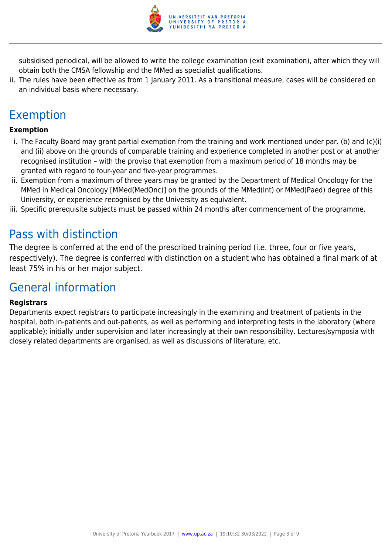

subsidised periodical, will be allowed to write the college examination (exit examination), after which they will obtain both the CMSA fellowship and the MMed as specialist qualifications.

ii. The rules have been effective as from 1 January 2011. As a transitional measure, cases will be considered on an individual basis where necessary.

# Exemption

#### **Exemption**

- i. The Faculty Board may grant partial exemption from the training and work mentioned under par. (b) and (c)(i) and (ii) above on the grounds of comparable training and experience completed in another post or at another recognised institution – with the proviso that exemption from a maximum period of 18 months may be granted with regard to four-year and five-year programmes.
- ii. Exemption from a maximum of three years may be granted by the Department of Medical Oncology for the MMed in Medical Oncology [MMed(MedOnc)] on the grounds of the MMed(Int) or MMed(Paed) degree of this University, or experience recognised by the University as equivalent.
- iii. Specific prerequisite subjects must be passed within 24 months after commencement of the programme.

### Pass with distinction

The degree is conferred at the end of the prescribed training period (i.e. three, four or five years, respectively). The degree is conferred with distinction on a student who has obtained a final mark of at least 75% in his or her major subject.

### General information

#### **Registrars**

Departments expect registrars to participate increasingly in the examining and treatment of patients in the hospital, both in-patients and out-patients, as well as performing and interpreting tests in the laboratory (where applicable); initially under supervision and later increasingly at their own responsibility. Lectures/symposia with closely related departments are organised, as well as discussions of literature, etc.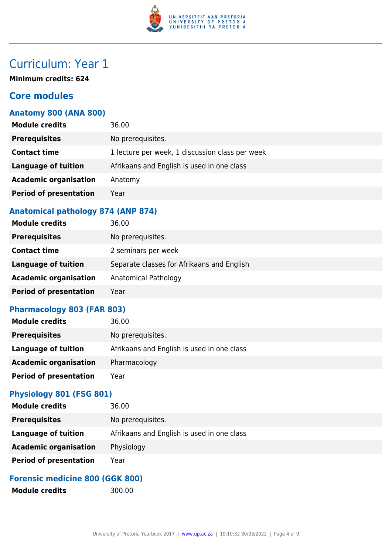

# Curriculum: Year 1

**Minimum credits: 624**

### **Core modules**

#### **Anatomy 800 (ANA 800)**

| <b>Module credits</b>         | 36.00                                           |
|-------------------------------|-------------------------------------------------|
| <b>Prerequisites</b>          | No prerequisites.                               |
| <b>Contact time</b>           | 1 lecture per week, 1 discussion class per week |
| <b>Language of tuition</b>    | Afrikaans and English is used in one class      |
| <b>Academic organisation</b>  | Anatomy                                         |
| <b>Period of presentation</b> | Year                                            |
|                               |                                                 |

#### **Anatomical pathology 874 (ANP 874)**

| <b>Module credits</b>         | 36.00                                      |
|-------------------------------|--------------------------------------------|
| <b>Prerequisites</b>          | No prerequisites.                          |
| <b>Contact time</b>           | 2 seminars per week                        |
| <b>Language of tuition</b>    | Separate classes for Afrikaans and English |
| <b>Academic organisation</b>  | Anatomical Pathology                       |
| <b>Period of presentation</b> | Year                                       |

#### **Pharmacology 803 (FAR 803)**

| <b>Module credits</b>         | 36.00                                      |
|-------------------------------|--------------------------------------------|
| <b>Prerequisites</b>          | No prerequisites.                          |
| Language of tuition           | Afrikaans and English is used in one class |
| <b>Academic organisation</b>  | Pharmacology                               |
| <b>Period of presentation</b> | Year                                       |

#### **Physiology 801 (FSG 801)**

| <b>Module credits</b>         | 36.00                                      |
|-------------------------------|--------------------------------------------|
| <b>Prerequisites</b>          | No prerequisites.                          |
| <b>Language of tuition</b>    | Afrikaans and English is used in one class |
| <b>Academic organisation</b>  | Physiology                                 |
| <b>Period of presentation</b> | Year                                       |

#### **Forensic medicine 800 (GGK 800)**

Module credits 300.00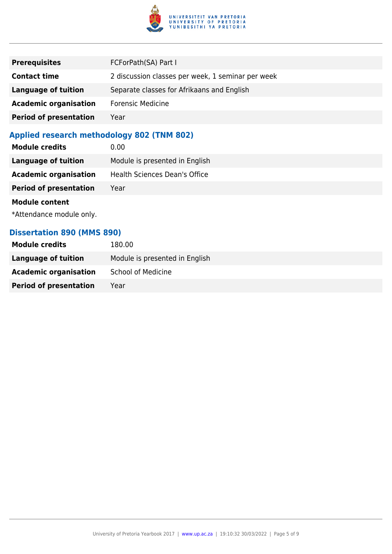

| <b>Prerequisites</b>          | FCForPath(SA) Part I                              |
|-------------------------------|---------------------------------------------------|
| <b>Contact time</b>           | 2 discussion classes per week, 1 seminar per week |
| <b>Language of tuition</b>    | Separate classes for Afrikaans and English        |
| <b>Academic organisation</b>  | <b>Forensic Medicine</b>                          |
| <b>Period of presentation</b> | Year                                              |

### **Applied research methodology 802 (TNM 802)**

| <b>Module credits</b>         | 0.00                                 |
|-------------------------------|--------------------------------------|
| Language of tuition           | Module is presented in English       |
| <b>Academic organisation</b>  | <b>Health Sciences Dean's Office</b> |
| <b>Period of presentation</b> | Year                                 |
| <b>Module content</b>         |                                      |
| *Attendance module only.      |                                      |

#### **Dissertation 890 (MMS 890)**

| <b>Module credits</b>         | 180.00                         |
|-------------------------------|--------------------------------|
| Language of tuition           | Module is presented in English |
| <b>Academic organisation</b>  | <b>School of Medicine</b>      |
| <b>Period of presentation</b> | Year                           |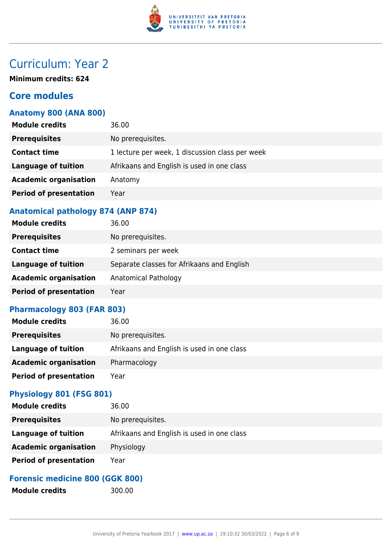

# Curriculum: Year 2

**Minimum credits: 624**

### **Core modules**

#### **Anatomy 800 (ANA 800)**

| <b>Module credits</b>         | 36.00                                           |
|-------------------------------|-------------------------------------------------|
| <b>Prerequisites</b>          | No prerequisites.                               |
| <b>Contact time</b>           | 1 lecture per week, 1 discussion class per week |
| <b>Language of tuition</b>    | Afrikaans and English is used in one class      |
| <b>Academic organisation</b>  | Anatomy                                         |
| <b>Period of presentation</b> | Year                                            |
|                               |                                                 |

#### **Anatomical pathology 874 (ANP 874)**

| <b>Module credits</b>         | 36.00                                      |
|-------------------------------|--------------------------------------------|
| <b>Prerequisites</b>          | No prerequisites.                          |
| <b>Contact time</b>           | 2 seminars per week                        |
| <b>Language of tuition</b>    | Separate classes for Afrikaans and English |
| <b>Academic organisation</b>  | Anatomical Pathology                       |
| <b>Period of presentation</b> | Year                                       |

#### **Pharmacology 803 (FAR 803)**

| <b>Module credits</b>         | 36.00                                      |
|-------------------------------|--------------------------------------------|
| <b>Prerequisites</b>          | No prerequisites.                          |
| <b>Language of tuition</b>    | Afrikaans and English is used in one class |
| <b>Academic organisation</b>  | Pharmacology                               |
| <b>Period of presentation</b> | Year                                       |

#### **Physiology 801 (FSG 801)**

| <b>Module credits</b>         | 36.00                                      |
|-------------------------------|--------------------------------------------|
| <b>Prerequisites</b>          | No prerequisites.                          |
| Language of tuition           | Afrikaans and English is used in one class |
| <b>Academic organisation</b>  | Physiology                                 |
| <b>Period of presentation</b> | Year                                       |

#### **Forensic medicine 800 (GGK 800)**

Module credits 300.00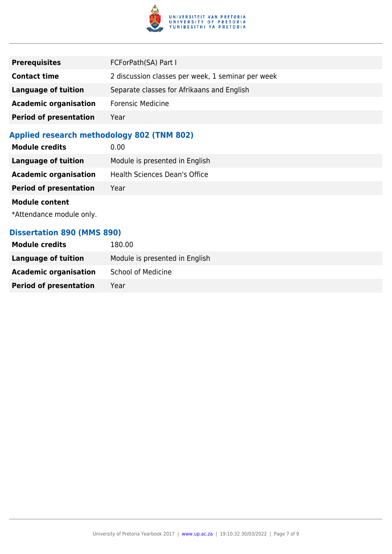

| <b>Prerequisites</b>          | FCForPath(SA) Part I                              |
|-------------------------------|---------------------------------------------------|
| <b>Contact time</b>           | 2 discussion classes per week, 1 seminar per week |
| <b>Language of tuition</b>    | Separate classes for Afrikaans and English        |
| <b>Academic organisation</b>  | <b>Forensic Medicine</b>                          |
| <b>Period of presentation</b> | Year                                              |

### **Applied research methodology 802 (TNM 802)**

| <b>Module credits</b>         | 0.00                                 |
|-------------------------------|--------------------------------------|
| Language of tuition           | Module is presented in English       |
| <b>Academic organisation</b>  | <b>Health Sciences Dean's Office</b> |
| <b>Period of presentation</b> | Year                                 |
| <b>Module content</b>         |                                      |
| *Attendance module only.      |                                      |

#### **Dissertation 890 (MMS 890)**

| <b>Module credits</b>         | 180.00                         |
|-------------------------------|--------------------------------|
| Language of tuition           | Module is presented in English |
| <b>Academic organisation</b>  | <b>School of Medicine</b>      |
| <b>Period of presentation</b> | Year                           |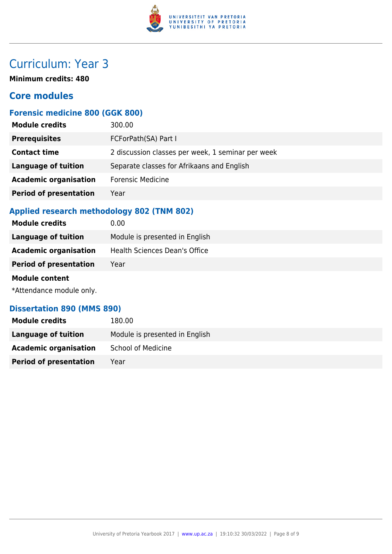

# Curriculum: Year 3

**Minimum credits: 480**

### **Core modules**

### **Forensic medicine 800 (GGK 800)**

| <b>Module credits</b>         | 300.00                                            |
|-------------------------------|---------------------------------------------------|
| <b>Prerequisites</b>          | FCForPath(SA) Part I                              |
| <b>Contact time</b>           | 2 discussion classes per week, 1 seminar per week |
| <b>Language of tuition</b>    | Separate classes for Afrikaans and English        |
| <b>Academic organisation</b>  | <b>Forensic Medicine</b>                          |
| <b>Period of presentation</b> | Year                                              |
|                               |                                                   |

#### **Applied research methodology 802 (TNM 802)**

| <b>Module credits</b>         | 0.00                                 |
|-------------------------------|--------------------------------------|
| <b>Language of tuition</b>    | Module is presented in English       |
| <b>Academic organisation</b>  | <b>Health Sciences Dean's Office</b> |
| <b>Period of presentation</b> | Year                                 |
| <b>Module content</b>         |                                      |
| *Attendance module only.      |                                      |

#### **Dissertation 890 (MMS 890)**

| <b>Module credits</b>         | 180.00                         |
|-------------------------------|--------------------------------|
| Language of tuition           | Module is presented in English |
| <b>Academic organisation</b>  | <b>School of Medicine</b>      |
| <b>Period of presentation</b> | Year                           |